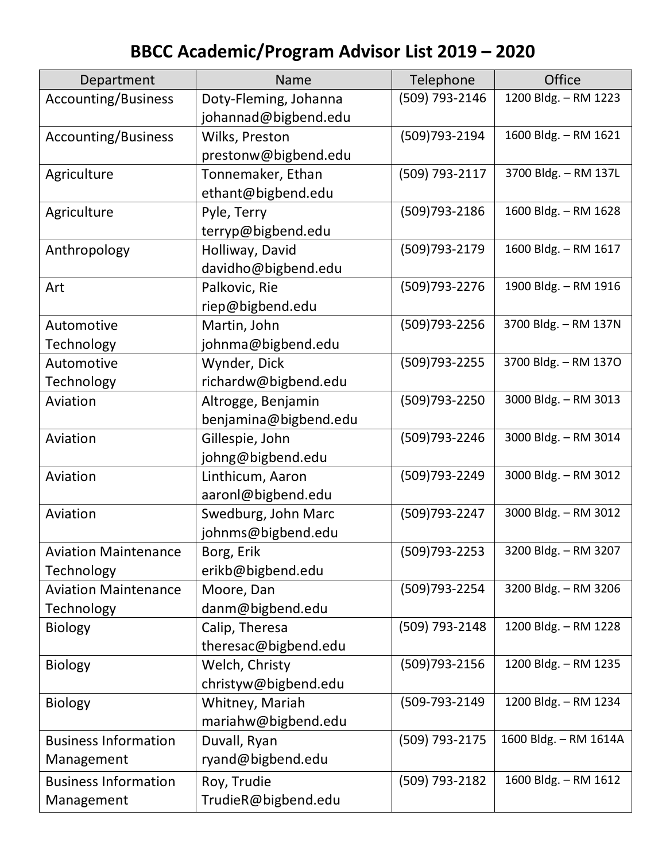## **BBCC Academic/Program Advisor List 2019 – 2020**

| Department                  | Name                  | Telephone         | <b>Office</b>         |
|-----------------------------|-----------------------|-------------------|-----------------------|
| Accounting/Business         | Doty-Fleming, Johanna | (509) 793-2146    | 1200 Bldg. - RM 1223  |
|                             | johannad@bigbend.edu  |                   |                       |
| Accounting/Business         | Wilks, Preston        | (509) 793-2194    | 1600 Bldg. - RM 1621  |
|                             | prestonw@bigbend.edu  |                   |                       |
| Agriculture                 | Tonnemaker, Ethan     | (509) 793-2117    | 3700 Bldg. - RM 137L  |
|                             | ethant@bigbend.edu    |                   |                       |
| Agriculture                 | Pyle, Terry           | (509) 793-2186    | 1600 Bldg. - RM 1628  |
|                             | terryp@bigbend.edu    |                   |                       |
| Anthropology                | Holliway, David       | (509) 793-2179    | 1600 Bldg. - RM 1617  |
|                             | davidho@bigbend.edu   |                   |                       |
| Art                         | Palkovic, Rie         | (509) 793 - 2276  | 1900 Bldg. - RM 1916  |
|                             | riep@bigbend.edu      |                   |                       |
| Automotive                  | Martin, John          | (509) 793 - 2256  | 3700 Bldg. - RM 137N  |
| Technology                  | johnma@bigbend.edu    |                   |                       |
| Automotive                  | Wynder, Dick          | (509) 793 - 2255  | 3700 Bldg. - RM 1370  |
| <b>Technology</b>           | richardw@bigbend.edu  |                   |                       |
| Aviation                    | Altrogge, Benjamin    | (509)793-2250     | 3000 Bldg. - RM 3013  |
|                             | benjamina@bigbend.edu |                   |                       |
| Aviation                    | Gillespie, John       | (509)793-2246     | 3000 Bldg. - RM 3014  |
|                             | johng@bigbend.edu     |                   |                       |
| Aviation                    | Linthicum, Aaron      | (509) 793 - 2249  | 3000 Bldg. - RM 3012  |
|                             | aaronl@bigbend.edu    |                   |                       |
| Aviation                    | Swedburg, John Marc   | (509) 793 - 2247  | 3000 Bldg. - RM 3012  |
|                             | johnms@bigbend.edu    |                   |                       |
| <b>Aviation Maintenance</b> | Borg, Erik            | (509) 793 - 2253  | 3200 Bldg. - RM 3207  |
| Technology                  | erikb@bigbend.edu     |                   |                       |
| <b>Aviation Maintenance</b> | Moore, Dan            | (509)793-2254     | 3200 Bldg. - RM 3206  |
| <b>Technology</b>           | danm@bigbend.edu      |                   |                       |
| <b>Biology</b>              | Calip, Theresa        | (509) 793-2148    | 1200 Bldg. - RM 1228  |
|                             | theresac@bigbend.edu  |                   |                       |
| <b>Biology</b>              | Welch, Christy        | $(509)793 - 2156$ | 1200 Bldg. - RM 1235  |
|                             | christyw@bigbend.edu  |                   |                       |
| <b>Biology</b>              | Whitney, Mariah       | (509-793-2149     | 1200 Bldg. - RM 1234  |
|                             | mariahw@bigbend.edu   |                   |                       |
| <b>Business Information</b> | Duvall, Ryan          | (509) 793-2175    | 1600 Bldg. - RM 1614A |
| Management                  | ryand@bigbend.edu     |                   |                       |
| <b>Business Information</b> | Roy, Trudie           | (509) 793-2182    | 1600 Bldg. - RM 1612  |
| Management                  | TrudieR@bigbend.edu   |                   |                       |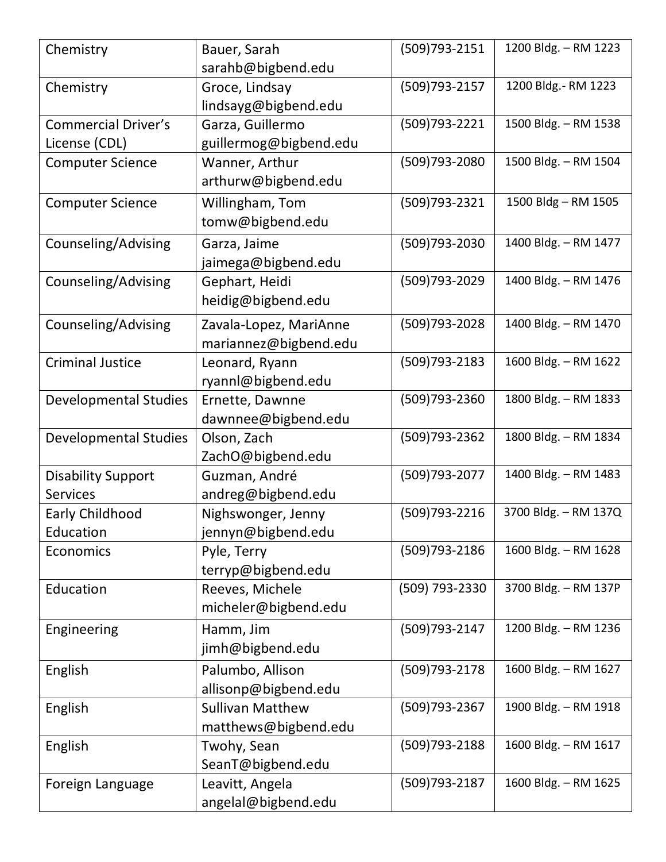| Chemistry                    | Bauer, Sarah<br>sarahb@bigbend.edu     | (509)793-2151    | 1200 Bldg. - RM 1223 |
|------------------------------|----------------------------------------|------------------|----------------------|
| Chemistry                    | Groce, Lindsay<br>lindsayg@bigbend.edu | (509) 793 - 2157 | 1200 Bldg.- RM 1223  |
| <b>Commercial Driver's</b>   | Garza, Guillermo                       | (509) 793 - 2221 | 1500 Bldg. - RM 1538 |
| License (CDL)                | guillermog@bigbend.edu                 |                  |                      |
| <b>Computer Science</b>      | Wanner, Arthur                         | (509) 793-2080   | 1500 Bldg. - RM 1504 |
|                              | arthurw@bigbend.edu                    |                  |                      |
| <b>Computer Science</b>      | Willingham, Tom<br>tomw@bigbend.edu    | (509) 793-2321   | 1500 Bldg - RM 1505  |
|                              |                                        | (509) 793-2030   | 1400 Bldg. - RM 1477 |
| Counseling/Advising          | Garza, Jaime<br>jaimega@bigbend.edu    |                  |                      |
| Counseling/Advising          | Gephart, Heidi                         | (509) 793-2029   | 1400 Bldg. - RM 1476 |
|                              | heidig@bigbend.edu                     |                  |                      |
| Counseling/Advising          | Zavala-Lopez, MariAnne                 | (509) 793-2028   | 1400 Bldg. - RM 1470 |
|                              | mariannez@bigbend.edu                  |                  |                      |
| <b>Criminal Justice</b>      | Leonard, Ryann                         | (509) 793 - 2183 | 1600 Bldg. - RM 1622 |
|                              | ryannl@bigbend.edu                     |                  |                      |
| <b>Developmental Studies</b> | Ernette, Dawnne                        | (509) 793-2360   | 1800 Bldg. - RM 1833 |
|                              | dawnnee@bigbend.edu                    |                  |                      |
| <b>Developmental Studies</b> | Olson, Zach                            | (509) 793 - 2362 | 1800 Bldg. - RM 1834 |
|                              | ZachO@bigbend.edu                      |                  |                      |
| <b>Disability Support</b>    | Guzman, André                          | (509) 793-2077   | 1400 Bldg. - RM 1483 |
| <b>Services</b>              | andreg@bigbend.edu                     |                  |                      |
| Early Childhood              | Nighswonger, Jenny                     | (509) 793 - 2216 | 3700 Bldg. - RM 137Q |
| Education                    | jennyn@bigbend.edu                     |                  |                      |
| Economics                    | Pyle, Terry                            | (509) 793-2186   | 1600 Bldg. - RM 1628 |
|                              | terryp@bigbend.edu                     |                  |                      |
| Education                    | Reeves, Michele                        | (509) 793-2330   | 3700 Bldg. - RM 137P |
|                              | micheler@bigbend.edu                   |                  |                      |
| Engineering                  | Hamm, Jim                              | (509) 793-2147   | 1200 Bldg. - RM 1236 |
|                              | jimh@bigbend.edu                       |                  |                      |
| English                      | Palumbo, Allison                       | (509) 793-2178   | 1600 Bldg. - RM 1627 |
|                              | allisonp@bigbend.edu                   |                  |                      |
| English                      | <b>Sullivan Matthew</b>                | (509) 793-2367   | 1900 Bldg. - RM 1918 |
|                              | matthews@bigbend.edu                   |                  |                      |
| English                      | Twohy, Sean                            | (509) 793 - 2188 | 1600 Bldg. - RM 1617 |
|                              | SeanT@bigbend.edu                      |                  |                      |
| Foreign Language             | Leavitt, Angela                        | (509) 793-2187   | 1600 Bldg. - RM 1625 |
|                              | angelal@bigbend.edu                    |                  |                      |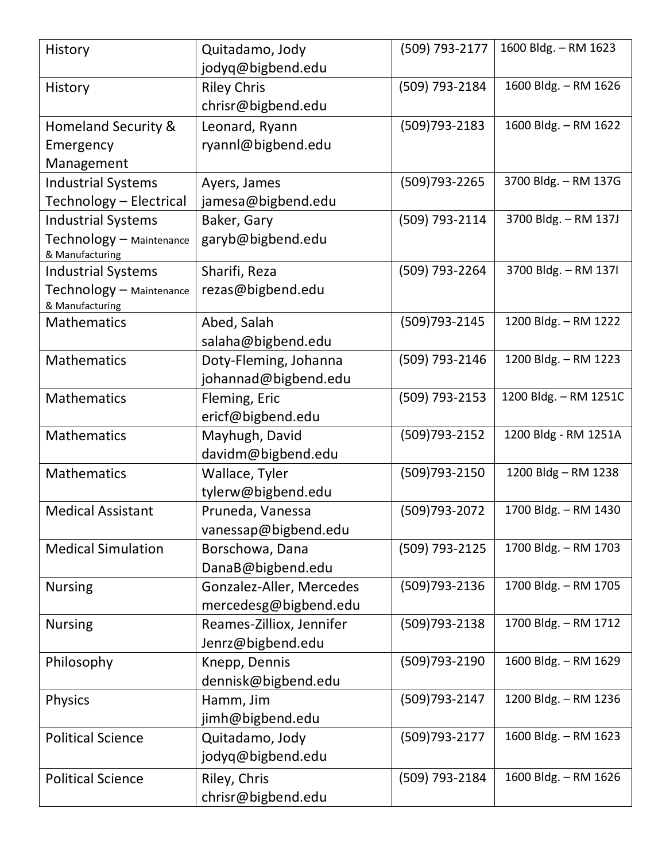| History                                     | Quitadamo, Jody<br>jodyq@bigbend.edu | (509) 793-2177   | 1600 Bldg. - RM 1623  |
|---------------------------------------------|--------------------------------------|------------------|-----------------------|
| History                                     | <b>Riley Chris</b>                   | (509) 793-2184   | 1600 Bldg. - RM 1626  |
|                                             | chrisr@bigbend.edu                   |                  |                       |
| Homeland Security &                         | Leonard, Ryann                       | (509) 793 - 2183 | 1600 Bldg. - RM 1622  |
| Emergency                                   | ryannl@bigbend.edu                   |                  |                       |
| Management                                  |                                      |                  |                       |
| <b>Industrial Systems</b>                   | Ayers, James                         | (509) 793 - 2265 | 3700 Bldg. - RM 137G  |
| Technology - Electrical                     | jamesa@bigbend.edu                   |                  |                       |
| <b>Industrial Systems</b>                   | Baker, Gary                          | (509) 793-2114   | 3700 Bldg. - RM 137J  |
| Technology - Maintenance<br>& Manufacturing | garyb@bigbend.edu                    |                  |                       |
| <b>Industrial Systems</b>                   | Sharifi, Reza                        | (509) 793-2264   | 3700 Bldg. - RM 1371  |
| Technology - Maintenance<br>& Manufacturing | rezas@bigbend.edu                    |                  |                       |
| <b>Mathematics</b>                          | Abed, Salah                          | (509) 793 - 2145 | 1200 Bldg. - RM 1222  |
|                                             | salaha@bigbend.edu                   |                  |                       |
| Mathematics                                 | Doty-Fleming, Johanna                | (509) 793-2146   | 1200 Bldg. - RM 1223  |
|                                             | johannad@bigbend.edu                 |                  |                       |
| Mathematics                                 | Fleming, Eric                        | (509) 793-2153   | 1200 Bldg. - RM 1251C |
|                                             | ericf@bigbend.edu                    |                  |                       |
| <b>Mathematics</b>                          | Mayhugh, David                       | (509) 793 - 2152 | 1200 Bldg - RM 1251A  |
|                                             | davidm@bigbend.edu                   |                  |                       |
| Mathematics                                 | Wallace, Tyler                       | (509)793-2150    | 1200 Bldg - RM 1238   |
|                                             | tylerw@bigbend.edu                   |                  |                       |
| <b>Medical Assistant</b>                    | Pruneda, Vanessa                     | (509) 793 - 2072 | 1700 Bldg. - RM 1430  |
|                                             | vanessap@bigbend.edu                 |                  |                       |
| <b>Medical Simulation</b>                   | Borschowa, Dana                      | (509) 793-2125   | 1700 Bldg. - RM 1703  |
|                                             | DanaB@bigbend.edu                    |                  |                       |
| <b>Nursing</b>                              | Gonzalez-Aller, Mercedes             | (509)793-2136    | 1700 Bldg. - RM 1705  |
|                                             | mercedesg@bigbend.edu                |                  |                       |
| <b>Nursing</b>                              | Reames-Zilliox, Jennifer             | (509)793-2138    | 1700 Bldg. - RM 1712  |
|                                             | Jenrz@bigbend.edu                    |                  |                       |
| Philosophy                                  | Knepp, Dennis                        | (509)793-2190    | 1600 Bldg. - RM 1629  |
|                                             | dennisk@bigbend.edu                  |                  |                       |
| <b>Physics</b>                              | Hamm, Jim                            | (509) 793-2147   | 1200 Bldg. - RM 1236  |
|                                             | jimh@bigbend.edu                     |                  |                       |
| <b>Political Science</b>                    | Quitadamo, Jody                      | (509) 793-2177   | 1600 Bldg. - RM 1623  |
|                                             | jodyq@bigbend.edu                    |                  |                       |
| <b>Political Science</b>                    | Riley, Chris                         | (509) 793-2184   | 1600 Bldg. - RM 1626  |
|                                             | chrisr@bigbend.edu                   |                  |                       |